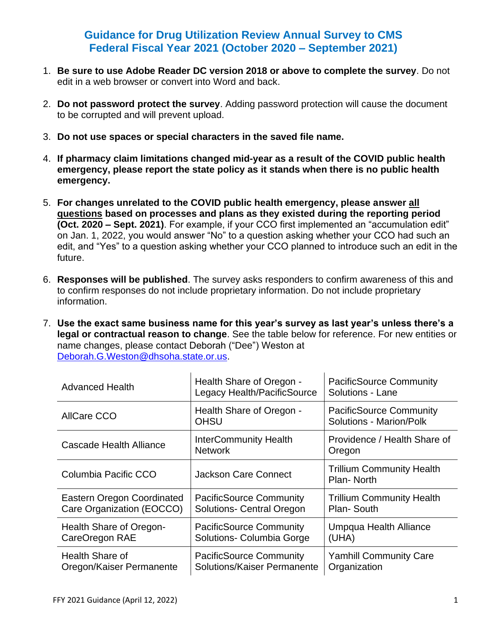## **Guidance for Drug Utilization Review Annual Survey to CMS Federal Fiscal Year 2021 (October 2020 – September 2021)**

- 1. **Be sure to use Adobe Reader DC version 2018 or above to complete the survey**. Do not edit in a web browser or convert into Word and back.
- 2. **Do not password protect the survey**. Adding password protection will cause the document to be corrupted and will prevent upload.
- 3. **Do not use spaces or special characters in the saved file name.**
- 4. **If pharmacy claim limitations changed mid-year as a result of the COVID public health emergency, please report the state policy as it stands when there is no public health emergency.**
- 5. **For changes unrelated to the COVID public health emergency, please answer all questions based on processes and plans as they existed during the reporting period (Oct. 2020 – Sept. 2021)**. For example, if your CCO first implemented an "accumulation edit" on Jan. 1, 2022, you would answer "No" to a question asking whether your CCO had such an edit, and "Yes" to a question asking whether your CCO planned to introduce such an edit in the future.
- 6. **Responses will be published**. The survey asks responders to confirm awareness of this and to confirm responses do not include proprietary information. Do not include proprietary information.
- 7. **Use the exact same business name for this year's survey as last year's unless there's a legal or contractual reason to change**. See the table below for reference. For new entities or name changes, please contact Deborah ("Dee") Weston at [Deborah.G.Weston@dhsoha.state.or.us.](mailto:Deborah.G.Weston@dhsoha.state.or.us)

| <b>Advanced Health</b>                                         | Health Share of Oregon -<br>Legacy Health/PacificSource            | <b>PacificSource Community</b><br>Solutions - Lane        |
|----------------------------------------------------------------|--------------------------------------------------------------------|-----------------------------------------------------------|
| <b>AllCare CCO</b>                                             | Health Share of Oregon -<br><b>OHSU</b>                            | <b>PacificSource Community</b><br>Solutions - Marion/Polk |
| Cascade Health Alliance                                        | <b>InterCommunity Health</b><br><b>Network</b>                     | Providence / Health Share of<br>Oregon                    |
| Columbia Pacific CCO                                           | Jackson Care Connect                                               | <b>Trillium Community Health</b><br>Plan-North            |
| <b>Eastern Oregon Coordinated</b><br>Care Organization (EOCCO) | <b>PacificSource Community</b><br><b>Solutions- Central Oregon</b> | <b>Trillium Community Health</b><br>Plan-South            |
| Health Share of Oregon-<br>CareOregon RAE                      | <b>PacificSource Community</b><br>Solutions- Columbia Gorge        | Umpqua Health Alliance<br>(UHA)                           |
| <b>Health Share of</b><br>Oregon/Kaiser Permanente             | <b>PacificSource Community</b><br>Solutions/Kaiser Permanente      | <b>Yamhill Community Care</b><br>Organization             |